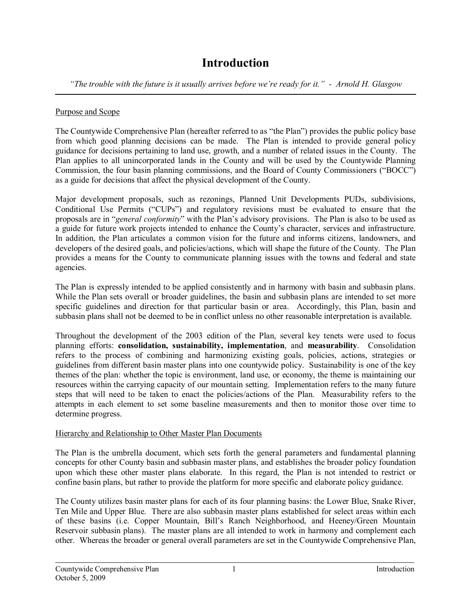# **Introduction**

*"The trouble with the future is it usually arrives before we're ready for it." Arnold H. Glasgow*

## Purpose and Scope

The Countywide Comprehensive Plan (hereafter referred to as "the Plan") provides the public policy base from which good planning decisions can be made. The Plan is intended to provide general policy guidance for decisions pertaining to land use, growth, and a number of related issues in the County. The Plan applies to all unincorporated lands in the County and will be used by the Countywide Planning Commission, the four basin planning commissions, and the Board of County Commissioners ("BOCC") as a guide for decisions that affect the physical development of the County.

Major development proposals, such as rezonings, Planned Unit Developments PUDs, subdivisions, Conditional Use Permits ("CUPs") and regulatory revisions must be evaluated to ensure that the proposals are in "*general conformity*" with the Plan's advisory provisions. The Plan is also to be used as a guide for future work projects intended to enhance the County's character, services and infrastructure. In addition, the Plan articulates a common vision for the future and informs citizens, landowners, and developers of the desired goals, and policies/actions, which will shape the future of the County. The Plan provides a means for the County to communicate planning issues with the towns and federal and state agencies.

The Plan is expressly intended to be applied consistently and in harmony with basin and subbasin plans. While the Plan sets overall or broader guidelines, the basin and subbasin plans are intended to set more specific guidelines and direction for that particular basin or area. Accordingly, this Plan, basin and subbasin plans shall not be deemed to be in conflict unless no other reasonable interpretation is available.

Throughout the development of the 2003 edition of the Plan, several key tenets were used to focus planning efforts: **consolidation, sustainability, implementation**, and **measurability**. Consolidation refers to the process of combining and harmonizing existing goals, policies, actions, strategies or guidelines from different basin master plans into one countywide policy. Sustainability is one of the key themes of the plan: whether the topic is environment, land use, or economy, the theme is maintaining our resources within the carrying capacity of our mountain setting. Implementation refers to the many future steps that will need to be taken to enact the policies/actions of the Plan. Measurability refers to the attempts in each element to set some baseline measurements and then to monitor those over time to determine progress.

## Hierarchy and Relationship to Other Master Plan Documents

The Plan is the umbrella document, which sets forth the general parameters and fundamental planning concepts for other County basin and subbasin master plans, and establishes the broader policy foundation upon which these other master plans elaborate. In this regard, the Plan is not intended to restrict or confine basin plans, but rather to provide the platform for more specific and elaborate policy guidance.

The County utilizes basin master plans for each of its four planning basins: the Lower Blue, Snake River, Ten Mile and Upper Blue. There are also subbasin master plans established for select areas within each of these basins (i.e. Copper Mountain, Bill's Ranch Neighborhood, and Heeney/Green Mountain Reservoir subbasin plans). The master plans are all intended to work in harmony and complement each other. Whereas the broader or general overall parameters are set in the Countywide Comprehensive Plan,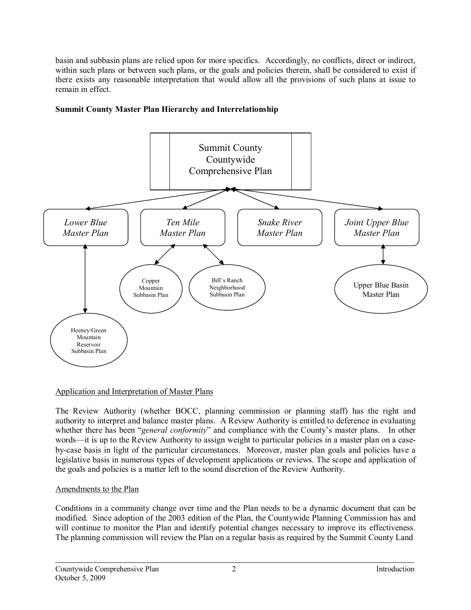basin and subbasin plans are relied upon for more specifics. Accordingly, no conflicts, direct or indirect, within such plans or between such plans, or the goals and policies therein, shall be considered to exist if there exists any reasonable interpretation that would allow allthe provisions of such plans at issue to remain in effect.



## **Summit County Master Plan Hierarchy and Interrelationship**

#### Application and Interpretation of Master Plans

The Review Authority (whether BOCC, planning commission or planning staff) has the right and authority to interpret and balance master plans. A Review Authority is entitled to deference in evaluating whether there has been "*general conformity*" and compliance with the County's master plans. In other words—it is up to the Review Authority to assign weight to particular policies in a master plan on a case bycase basis in light of the particular circumstances. Moreover, master plan goals and policies have a legislative basis in numerous types of development applications or reviews. The scope and application of the goals and policies is a matter left to the sound discretion of the Review Authority.

#### Amendments to the Plan

Conditions in a community change over time and the Plan needs to be a dynamic document that can be modified. Since adoption of the 2003 edition of the Plan, the Countywide Planning Commission has and will continue to monitor the Plan and identify potential changes necessary to improve its effectiveness. The planning commission will review the Plan on a regular basis as required by the Summit County Land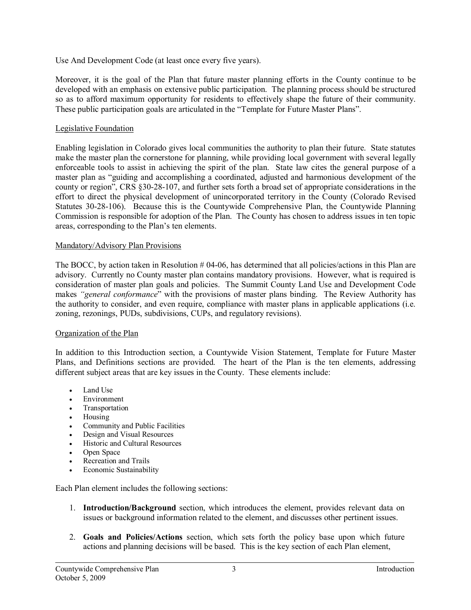Use And Development Code (at least once every five years).

Moreover, it is the goal of the Plan that future master planning efforts in the County continue to be developed with an emphasis on extensive public participation. The planning process should be structured so as to afford maximum opportunity for residents to effectively shape the future of their community. These public participation goals are articulated in the "Template for Future Master Plans".

### Legislative Foundation

Enabling legislation in Colorado gives local communities the authority to plan their future. State statutes make the master plan the cornerstone for planning, while providing local government with several legally enforceable tools to assist in achieving the spirit of the plan. State law cites the general purpose of a master plan as "guiding and accomplishing a coordinated, adjusted and harmonious development of the county or region", CRS §30-28-107, and further sets forth a broad set of appropriate considerations in the effort to direct the physical development of unincorporated territory in the County (Colorado Revised Statutes 30-28-106). Because this is the Countywide Comprehensive Plan, the Countywide Planning Commission is responsible for adoption of the Plan. The County has chosen to address issues in ten topic areas, corresponding to the Plan's ten elements.

#### Mandatory/Advisory Plan Provisions

The BOCC, by action taken in Resolution  $#04-06$ , has determined that all policies/actions in this Plan are advisory. Currently no County master plan contains mandatory provisions. However, what is required is consideration of master plan goals and policies. The Summit County Land Use and Development Code makes *"general conformance*" with the provisions of master plans binding. The Review Authority has the authority to consider, and even require, compliance with master plans in applicable applications (i.e. zoning, rezonings, PUDs, subdivisions, CUPs, and regulatory revisions).

#### Organization of the Plan

In addition to this Introduction section, a Countywide Vision Statement, Template for Future Master Plans, and Definitions sections are provided. The heart of the Plan is the ten elements, addressing different subject areas that are key issues in the County. These elements include:

- Land Use
- Environment
- · Transportation
- · Housing
- · Community and Public Facilities
- · Design and Visual Resources
- · Historic and Cultural Resources
- · Open Space
- Recreation and Trails
- Economic Sustainability

Each Plan element includes the following sections:

- 1. **Introduction/Background** section, which introduces the element, provides relevant data on issues or background information related to the element, and discusses other pertinent issues.
- 2. **Goals and Policies/Actions** section, which sets forth the policy base upon which future actions and planning decisions will be based. This is the key section of each Plan element,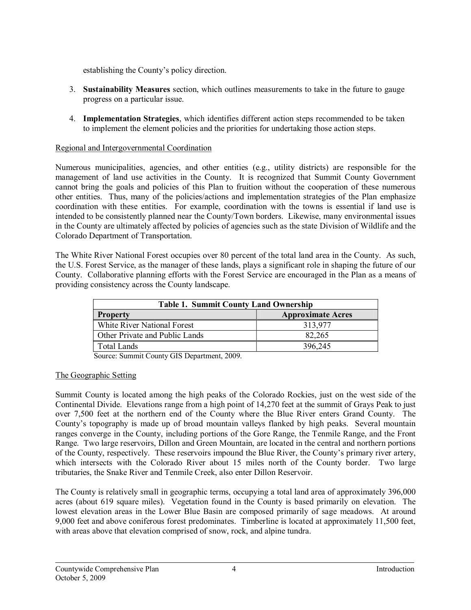establishing the County's policy direction.

- 3. **Sustainability Measures** section, which outlines measurements to take in the future to gauge progress on a particular issue.
- 4. **Implementation Strategies**, which identifies different action steps recommended to be taken to implement the element policies and the priorities for undertaking those action steps.

## Regional and Intergovernmental Coordination

Numerous municipalities, agencies, and other entities (e.g., utility districts) are responsible for the management of land use activities in the County. It is recognized that Summit County Government cannot bring the goals and policies of this Plan to fruition without the cooperation of these numerous other entities. Thus, many of the policies/actions and implementation strategies of the Plan emphasize coordination with these entities. For example, coordination with the towns is essential if land use is intended to be consistently planned near the County/Town borders. Likewise, many environmental issues in the County are ultimately affected by policies of agencies such as the state Division of Wildlife and the Colorado Department of Transportation.

The White River National Forest occupies over 80 percent of the total land area in the County. As such, the U.S. Forest Service, as the manager of these lands, plays a significant role in shaping the future of our County. Collaborative planning efforts with the Forest Service are encouraged in the Plan as a means of providing consistency across the County landscape.

| <b>Table 1. Summit County Land Ownership</b> |                          |  |  |
|----------------------------------------------|--------------------------|--|--|
| <b>Property</b>                              | <b>Approximate Acres</b> |  |  |
| White River National Forest                  | 313,977                  |  |  |
| Other Private and Public Lands               | 82,265                   |  |  |
| <b>Total Lands</b>                           | 396,245                  |  |  |

Source: Summit County GIS Department, 2009.

#### The Geographic Setting

Summit County is located among the high peaks of the Colorado Rockies, just on the west side of the Continental Divide. Elevations range from a high point of 14,270 feet at the summit of Grays Peak to just over 7,500 feet at the northern end of the County where the Blue River enters Grand County. The County's topography is made up of broad mountain valleys flanked by high peaks. Several mountain ranges converge in the County, including portions of the Gore Range, the Tenmile Range, and the Front Range. Two large reservoirs, Dillon and Green Mountain, are located in the central and northern portions of the County, respectively. These reservoirs impound the Blue River, the County's primary river artery, which intersects with the Colorado River about 15 miles north of the County border. Two large tributaries, the Snake River and Tenmile Creek, also enter Dillon Reservoir.

The County is relatively small in geographic terms, occupying a total land area of approximately 396,000 acres (about 619 square miles). Vegetation found in the County is based primarily on elevation. The lowest elevation areas in the Lower Blue Basin are composed primarily of sage meadows. At around 9,000 feet and above coniferous forest predominates. Timberline is located at approximately 11,500 feet, with areas above that elevation comprised of snow, rock, and alpine tundra.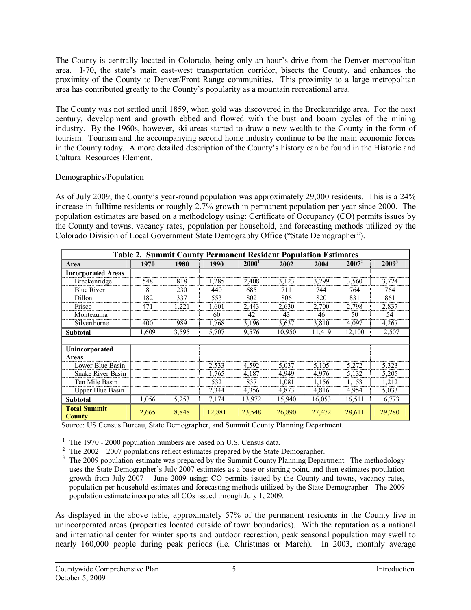The County is centrally located in Colorado, being only an hour's drive from the Denver metropolitan area. I-70, the state's main east-west transportation corridor, bisects the County, and enhances the proximity of the County to Denver/Front Range communities. This proximity to a large metropolitan area has contributed greatly to the County's popularity as a mountain recreational area.

The County was not settled until 1859, when gold was discovered in the Breckenridge area. For the next century, development and growth ebbed and flowed with the bust and boom cycles of the mining industry. By the 1960s, however, ski areas started to draw a new wealth to the County in the form of tourism. Tourism and the accompanying second home industry continue to be the main economic forces in the County today. A more detailed description of the County's history can be found in the Historic and Cultural Resources Element.

#### Demographics/Population

As of July 2009, the County's year-round population was approximately 29,000 residents. This is a 24% increase in fulltime residents or roughly 2.7% growth in permanent population per year since 2000. The population estimates are based on a methodology using: Certificate of Occupancy (CO) permits issues by the County and towns, vacancy rates, population per household, and forecasting methods utilized by the Colorado Division of Local Government State Demography Office ("State Demographer").

| <b>Table 2. Summit County Permanent Resident Population Estimates</b> |       |       |        |          |        |        |          |          |
|-----------------------------------------------------------------------|-------|-------|--------|----------|--------|--------|----------|----------|
| Area                                                                  | 1970  | 1980  | 1990   | $2000^1$ | 2002   | 2004   | $2007^2$ | $2009^3$ |
| <b>Incorporated Areas</b>                                             |       |       |        |          |        |        |          |          |
| <b>Breckenridge</b>                                                   | 548   | 818   | 1,285  | 2,408    | 3,123  | 3,299  | 3,560    | 3,724    |
| <b>Blue River</b>                                                     | 8     | 230   | 440    | 685      | 711    | 744    | 764      | 764      |
| Dillon                                                                | 182   | 337   | 553    | 802      | 806    | 820    | 831      | 861      |
| Frisco                                                                | 471   | 1,221 | 1,601  | 2,443    | 2,630  | 2,700  | 2,798    | 2,837    |
| Montezuma                                                             |       |       | 60     | 42       | 43     | 46     | 50       | 54       |
| Silverthorne                                                          | 400   | 989   | 1,768  | 3,196    | 3,637  | 3,810  | 4,097    | 4,267    |
| <b>Subtotal</b>                                                       | 1.609 | 3,595 | 5,707  | 9,576    | 10,950 | 11.419 | 12,100   | 12,507   |
|                                                                       |       |       |        |          |        |        |          |          |
| Unincorporated                                                        |       |       |        |          |        |        |          |          |
| Areas                                                                 |       |       |        |          |        |        |          |          |
| Lower Blue Basin                                                      |       |       | 2,533  | 4,592    | 5,037  | 5,105  | 5,272    | 5,323    |
| <b>Snake River Basin</b>                                              |       |       | 1,765  | 4,187    | 4,949  | 4,976  | 5,132    | 5,205    |
| Ten Mile Basin                                                        |       |       | 532    | 837      | 1,081  | 1,156  | 1,153    | 1,212    |
| <b>Upper Blue Basin</b>                                               |       |       | 2,344  | 4,356    | 4,873  | 4,816  | 4,954    | 5,033    |
| <b>Subtotal</b>                                                       | 1,056 | 5,253 | 7,174  | 13,972   | 15,940 | 16,053 | 16,511   | 16,773   |
| <b>Total Summit</b><br><b>County</b>                                  | 2,665 | 8,848 | 12,881 | 23,548   | 26,890 | 27,472 | 28,611   | 29,280   |

Source: US Census Bureau, State Demographer, and Summit County Planning Department.

- <sup>1</sup> The 1970 2000 population numbers are based on U.S. Census data.<br><sup>2</sup> The 2002 2007 populations reflect estimates prepared by the State Demographer.
- <sup>3</sup> The 2009 population estimate was prepared by the Summit County Planning Department. The methodology uses the State Demographer's July 2007 estimates as a base or starting point, and then estimates population growth from July 2007 – June 2009 using: CO permits issued by the County and towns, vacancy rates, population per household estimates and forecasting methods utilized by the State Demographer. The 2009 population estimate incorporates all COs issued through July 1, 2009.

As displayed in the above table, approximately 57% of the permanent residents in the County live in unincorporated areas (properties located outside of town boundaries). With the reputation as a national and international center for winter sports and outdoor recreation, peak seasonal population may swell to nearly 160,000 people during peak periods (i.e. Christmas or March). In 2003, monthly average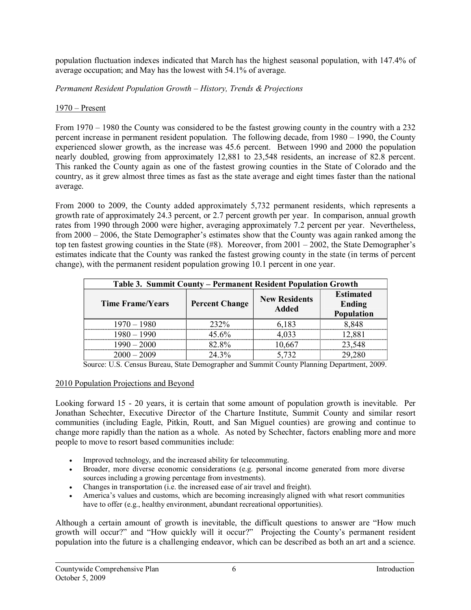population fluctuation indexes indicated that March has the highest seasonal population, with 147.4% of average occupation; and May has the lowest with 54.1% of average.

*Permanent Resident Population Growth – History, Trends & Projections*

## 1970 – Present

From 1970 – 1980 the County was considered to be the fastest growing county in the country with a 232 percent increase in permanent resident population. The following decade, from 1980 – 1990, the County experienced slower growth, as the increase was 45.6 percent. Between 1990 and 2000 the population nearly doubled, growing from approximately 12,881 to 23,548 residents, an increase of 82.8 percent. This ranked the County again as one of the fastest growing counties in the State of Colorado and the country, as it grew almost three times as fast as the state average and eight times faster than the national average.

From 2000 to 2009, the County added approximately 5,732 permanent residents, which represents a growth rate of approximately 24.3 percent, or 2.7 percent growth per year. In comparison, annual growth rates from 1990 through 2000 were higher, averaging approximately 7.2 percent per year. Nevertheless, from 2000 – 2006, the State Demographer's estimates show that the County was again ranked among the top ten fastest growing counties in the State (#8). Moreover, from 2001 – 2002, the State Demographer's estimates indicate that the County was ranked the fastest growing county in the state (in terms of percent change), with the permanent resident population growing 10.1 percent in one year.

| Table 3. Summit County – Permanent Resident Population Growth |                       |                                      |                                          |  |  |
|---------------------------------------------------------------|-----------------------|--------------------------------------|------------------------------------------|--|--|
| <b>Time Frame/Years</b>                                       | <b>Percent Change</b> | <b>New Residents</b><br><b>Added</b> | <b>Estimated</b><br>Ending<br>Population |  |  |
| $1970 - 1980$                                                 | 232%                  | 6,183                                | 8.848                                    |  |  |
| $1980 - 1990$                                                 | $45.6\%$              | 4,033                                | 12.881                                   |  |  |
| $1990 - 2000$                                                 | 82.8%                 | 10,667                               | 23,548                                   |  |  |
| $2000 - 2009$                                                 | 24 3%                 | 5 732                                |                                          |  |  |

Source: U.S. Census Bureau, State Demographer and Summit County Planning Department, 2009.

#### 2010 Population Projections and Beyond

Looking forward 15 - 20 years, it is certain that some amount of population growth is inevitable. Per Jonathan Schechter, Executive Director of the Charture Institute, Summit County and similar resort communities (including Eagle, Pitkin, Routt, and San Miguel counties) are growing and continue to change more rapidly than the nation as a whole. As noted by Schechter, factors enabling more and more people to move to resort based communities include:

- · Improved technology, and the increased ability for telecommuting.
- Broader, more diverse economic considerations (e.g. personal income generated from more diverse sources including a growing percentage from investments).
- · Changes in transportation (i.e. the increased ease of air travel and freight).
- America's values and customs, which are becoming increasingly aligned with what resort communities have to offer (e.g., healthy environment, abundant recreational opportunities).

Although a certain amount of growth is inevitable, the difficult questions to answer are "How much growth will occur?" and "How quickly will it occur?" Projecting the County's permanent resident population into the future is a challenging endeavor, which can be described as both an art and a science.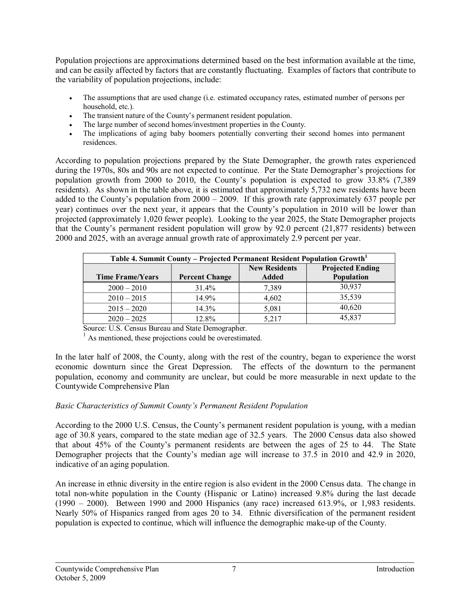Population projections are approximations determined based on the best information available at the time, and can be easily affected by factors that are constantly fluctuating. Examples of factors that contribute to the variability of population projections, include:

- The assumptions that are used change (i.e. estimated occupancy rates, estimated number of persons per household, etc.).
- The transient nature of the County's permanent resident population.
- The large number of second homes/investment properties in the County.
- The implications of aging baby boomers potentially converting their second homes into permanent residences.

According to population projections prepared by the State Demographer, the growth rates experienced during the 1970s, 80s and 90s are not expected to continue. Per the State Demographer's projections for population growth from 2000 to 2010, the County's population is expected to grow 33.8% (7,389 residents). As shown in the table above, it is estimated that approximately 5,732 new residents have been added to the County's population from 2000 – 2009. If this growth rate (approximately 637 people per year) continues over the next year, it appears that the County's population in 2010 will be lower than projected (approximately 1,020 fewer people). Looking to the year 2025, the State Demographer projects that the County's permanent resident population will grow by 92.0 percent (21,877 residents) between 2000 and 2025, with an average annual growth rate of approximately 2.9 percent per year.

| Table 4. Summit County – Projected Permanent Resident Population Growth <sup>1</sup> |                       |                               |                                       |  |  |
|--------------------------------------------------------------------------------------|-----------------------|-------------------------------|---------------------------------------|--|--|
| <b>Time Frame/Years</b>                                                              | <b>Percent Change</b> | <b>New Residents</b><br>Added | <b>Projected Ending</b><br>Population |  |  |
| $2000 - 2010$                                                                        | 31.4%                 | 7,389                         | 30,937                                |  |  |
| $2010 - 2015$                                                                        | 14.9%                 | 4,602                         | 35,539                                |  |  |
| $2015 - 2020$                                                                        | $14.3\%$              | 5,081                         | 40,620                                |  |  |
| $2020 - 2025$                                                                        | 12.8%                 | 5.217                         | 45,837                                |  |  |

Source: U.S. Census Bureau and State Demographer.

 $<sup>1</sup>$  As mentioned, these projections could be overestimated.</sup>

In the later half of 2008, the County, along with the rest of the country, began to experience the worst economic downturn since the Great Depression. The effects of the downturn to the permanent population, economy and community are unclear, but could be more measurable in next update to the Countywide Comprehensive Plan

## *Basic Characteristics of Summit County's Permanent Resident Population*

According to the 2000 U.S. Census, the County's permanent resident population is young, with a median age of 30.8 years, compared to the state median age of 32.5 years. The 2000 Census data also showed that about 45% of the County's permanent residents are between the ages of 25 to 44. The State Demographer projects that the County's median age will increase to 37.5 in 2010 and 42.9 in 2020, indicative of an aging population.

An increase in ethnic diversity in the entire region is also evident in the 2000 Census data. The change in total nonwhite population in the County (Hispanic or Latino) increased 9.8% during the last decade  $(1990 - 2000)$ . Between 1990 and 2000 Hispanics (any race) increased 613.9%, or 1,983 residents. Nearly 50% of Hispanics ranged from ages 20 to 34. Ethnic diversification of the permanent resident population is expected to continue, which will influence the demographic makeup of the County.